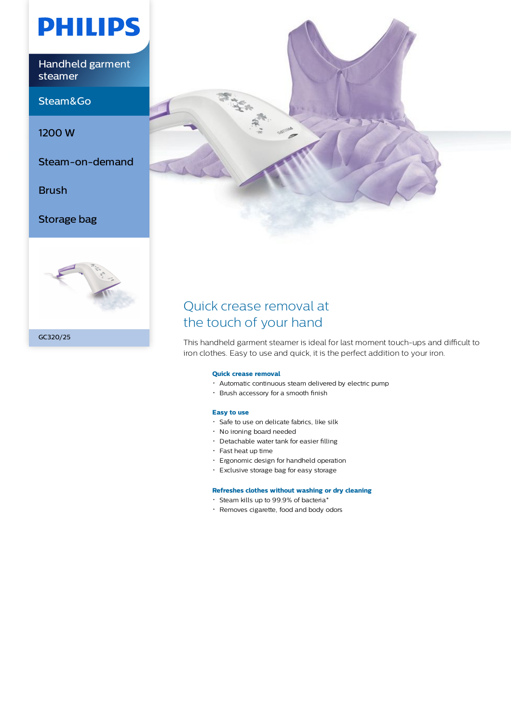# **PHILIPS**

Handheld garment steamer

Steam&Go

1200 W

Steam-on-demand

Brush

Storage bag







# Quick crease removal at the touch of your hand

This handheld garment steamer is ideal for last moment touch-ups and difficult to iron clothes. Easy to use and quick, it is the perfect addition to your iron.

## **Quick crease removal**

- Automatic continuous steam delivered by electric pump
- Brush accessory for a smooth finish

#### **Easy to use**

- Safe to use on delicate fabrics, like silk
- No ironing board needed
- Detachable water tank for easier filling
- Fast heat up time
- Ergonomic design for handheld operation
- Exclusive storage bag for easy storage

# **Refreshes clothes without washing or dry cleaning**

- Steam kills up to 99.9% of bacteria\*
- Removes cigarette, food and body odors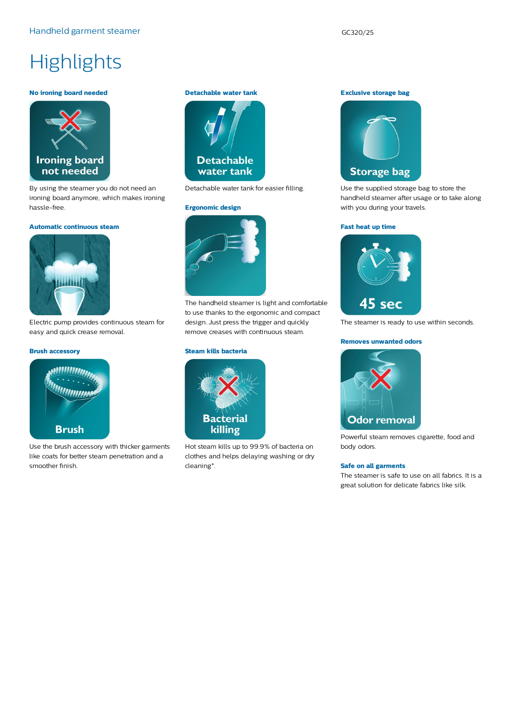# **Highlights**

#### **No ironing board needed**



By using the steamer you do not need an ironing board anymore, which makes ironing hassle-free.

#### **Automatic continuous steam**



Electric pump provides continuous steam for easy and quick crease removal.

### **Brush accessory**



Use the brush accessory with thicker garments like coats for better steam penetration and a smoother finish.

# **Detachable water tank**



Detachable water tank for easier filling.

#### **Ergonomic design**



The handheld steamer is light and comfortable to use thanks to the ergonomic and compact design. Just press the trigger and quickly remove creases with continuous steam.

### **Steam kills bacteria**



Hot steam kills up to 99.9% of bacteria on clothes and helps delaying washing or dry cleaning\*.

**Exclusive storage bag**



Use the supplied storage bag to store the handheld steamer after usage or to take along with you during your travels.

#### **Fast heat up time**



The steamer is ready to use within seconds.

#### **Removes unwanted odors**



Powerful steam removes cigarette, food and body odors.

#### **Safe on all garments**

The steamer is safe to use on all fabrics. It is a great solution for delicate fabrics like silk.